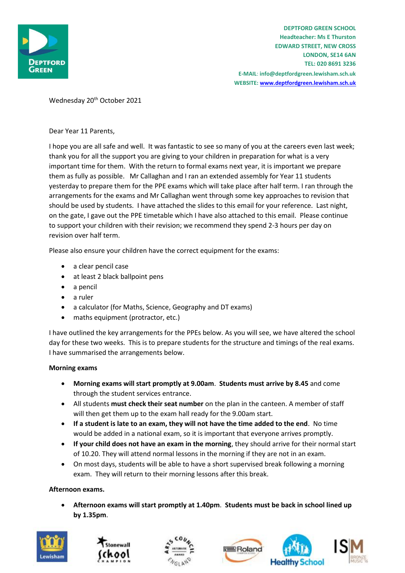

Wednesday 20<sup>th</sup> October 2021

Dear Year 11 Parents,

I hope you are all safe and well. It was fantastic to see so many of you at the careers even last week; thank you for all the support you are giving to your children in preparation for what is a very important time for them. With the return to formal exams next year, it is important we prepare them as fully as possible. Mr Callaghan and I ran an extended assembly for Year 11 students yesterday to prepare them for the PPE exams which will take place after half term. I ran through the arrangements for the exams and Mr Callaghan went through some key approaches to revision that should be used by students. I have attached the slides to this email for your reference. Last night, on the gate, I gave out the PPE timetable which I have also attached to this email. Please continue to support your children with their revision; we recommend they spend 2-3 hours per day on revision over half term.

Please also ensure your children have the correct equipment for the exams:

- a clear pencil case
- at least 2 black ballpoint pens
- a pencil
- a ruler
- a calculator (for Maths, Science, Geography and DT exams)
- maths equipment (protractor, etc.)

I have outlined the key arrangements for the PPEs below. As you will see, we have altered the school day for these two weeks. This is to prepare students for the structure and timings of the real exams. I have summarised the arrangements below.

### **Morning exams**

- **Morning exams will start promptly at 9.00am**. **Students must arrive by 8.45** and come through the student services entrance.
- All students **must check their seat number** on the plan in the canteen. A member of staff will then get them up to the exam hall ready for the 9.00am start.
- **If a student is late to an exam, they will not have the time added to the end**. No time would be added in a national exam, so it is important that everyone arrives promptly.
- **If your child does not have an exam in the morning**, they should arrive for their normal start of 10.20. They will attend normal lessons in the morning if they are not in an exam.
- On most days, students will be able to have a short supervised break following a morning exam. They will return to their morning lessons after this break.

### **Afternoon exams.**

• **Afternoon exams will start promptly at 1.40pm**. **Students must be back in school lined up by 1.35pm**.









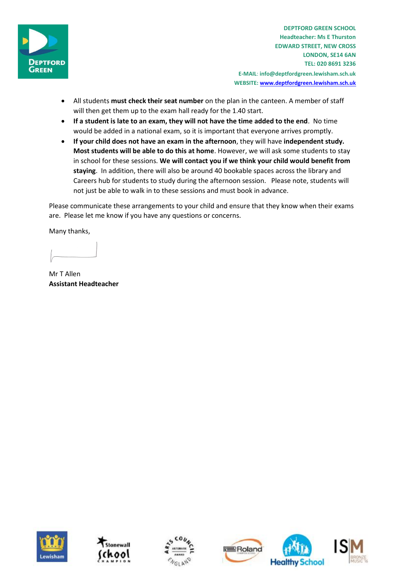

**DEPTFORD GREEN SCHOOL Headteacher: Ms E Thurston EDWARD STREET, NEW CROSS LONDON, SE14 6AN TEL: 020 8691 3236 E-MAIL**: **info@deptfordgreen.lewisham.sch.uk WEBSITE: www.deptfordgreen.lewisham.sch.uk**

- All students **must check their seat number** on the plan in the canteen. A member of staff will then get them up to the exam hall ready for the 1.40 start.
- **If a student is late to an exam, they will not have the time added to the end**. No time would be added in a national exam, so it is important that everyone arrives promptly.
- **If your child does not have an exam in the afternoon**, they will have **independent study. Most students will be able to do this at home**. However, we will ask some students to stay in school for these sessions. **We will contact you if we think your child would benefit from staying**. In addition, there will also be around 40 bookable spaces across the library and Careers hub for students to study during the afternoon session. Please note, students will not just be able to walk in to these sessions and must book in advance.

Please communicate these arrangements to your child and ensure that they know when their exams are. Please let me know if you have any questions or concerns.

Many thanks,

Mr T Allen **Assistant Headteacher**









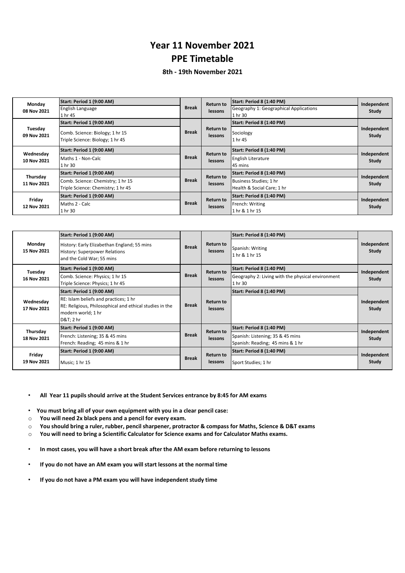### **Year 11 November 2021 PPE Timetable**

### **8th - 19th November 2021**

| Monday<br>08 Nov 2021    | Start: Period 1 (9:00 AM)<br><b>English Language</b><br>1 hr 45                                      | <b>Break</b> | Return to<br>lessons        | Start: Period 8 (1:40 PM)<br>Geography 1: Geographical Applications<br>1 hr 30    | Independent<br>Study |
|--------------------------|------------------------------------------------------------------------------------------------------|--------------|-----------------------------|-----------------------------------------------------------------------------------|----------------------|
| Tuesday<br>09 Nov 2021   | Start: Period 1 (9:00 AM)<br>Comb. Science: Biology; 1 hr 15<br>Triple Science: Biology; 1 hr 45     | <b>Break</b> | <b>Return to</b><br>lessons | Start: Period 8 (1:40 PM)<br>Sociology<br>1 hr 45                                 | Independent<br>Study |
| Wednesday<br>10 Nov 2021 | Start: Period 1 (9:00 AM)<br>Maths 1 - Non-Calc<br>1 hr 30                                           | <b>Break</b> | <b>Return to</b><br>lessons | Start: Period 8 (1:40 PM)<br><b>English Literature</b><br>45 mins                 | Independent<br>Study |
| Thursday<br>11 Nov 2021  | Start: Period 1 (9:00 AM)<br>Comb. Science: Chemistry; 1 hr 15<br>Triple Science: Chemistry; 1 hr 45 | <b>Break</b> | <b>Return to</b><br>lessons | Start: Period 8 (1:40 PM)<br>Business Studies; 1 hr<br>Health & Social Care; 1 hr | Independent<br>Study |
| Friday<br>12 Nov 2021    | Start: Period 1 (9:00 AM)<br>Maths 2 - Calc<br>1 hr 30                                               | <b>Break</b> | <b>Return to</b><br>lessons | Start: Period 8 (1:40 PM)<br>French: Writing<br>1 hr & 1 hr 15                    | Independent<br>Study |

| Monday<br>15 Nov 2021    | Start: Period 1 (9:00 AM)<br>History: Early Elizabethan England; 55 mins<br>History: Superpower Relations<br>and the Cold War; 55 mins | <b>Break</b>                                | <b>Return to</b><br>lessons | Start: Period 8 (1:40 PM)<br>Spanish: Writing<br>1 hr & 1 hr 15      | Independent<br>Study |
|--------------------------|----------------------------------------------------------------------------------------------------------------------------------------|---------------------------------------------|-----------------------------|----------------------------------------------------------------------|----------------------|
| Tuesday<br>16 Nov 2021   | Start: Period 1 (9:00 AM)                                                                                                              | <b>Return to</b><br><b>Break</b>            | Start: Period 8 (1:40 PM)   | Independent                                                          |                      |
|                          | Comb. Science: Physics; 1 hr 15<br>Triple Science: Physics; 1 hr 45                                                                    |                                             | lessons                     | Geography 2: Living with the physical environment<br>1 hr 30         | Study                |
| Wednesday<br>17 Nov 2021 | Start: Period 1 (9:00 AM)                                                                                                              |                                             |                             | Start: Period 8 (1:40 PM)                                            |                      |
|                          | RE: Islam beliefs and practices; 1 hr<br>RE: Religious, Philosophical and ethical studies in the<br>modern world; 1 hr<br>D&T 2 hr     | <b>Break</b>                                | <b>Return to</b><br>lessons |                                                                      | Independent<br>Study |
| Thursday<br>18 Nov 2021  | Start: Period 1 (9:00 AM)                                                                                                              | <b>Return to</b><br><b>Break</b><br>lessons |                             | Start: Period 8 (1:40 PM)                                            | Independent<br>Study |
|                          | French: Listening; 35 & 45 mins<br>French: Reading; 45 mins & 1 hr                                                                     |                                             |                             | Spanish: Listening; 35 & 45 mins<br>Spanish: Reading; 45 mins & 1 hr |                      |
| Friday<br>19 Nov 2021    | Start: Period 1 (9:00 AM)                                                                                                              | <b>Break</b>                                | <b>Return to</b><br>lessons | Start: Period 8 (1:40 PM)                                            | Independent          |
|                          | Music; 1 hr 15                                                                                                                         |                                             |                             | Sport Studies; 1 hr                                                  | <b>Study</b>         |

• **All Year 11 pupils should arrive at the Student Services entrance by 8:45 for AM exams**

• **You must bring all of your own equipment with you in a clear pencil case:**

o **You will need 2x black pens and a pencil for every exam.** 

o **You should bring a ruler, rubber, pencil sharpener, protractor & compass for Maths, Science & D&T exams**

o **You will need to bring a Scientific Calculator for Science exams and for Calculator Maths exams.**

- **In most cases, you will have a short break after the AM exam before returning to lessons**
- **If you do not have an AM exam you will start lessons at the normal time**
- **If you do not have a PM exam you will have independent study time**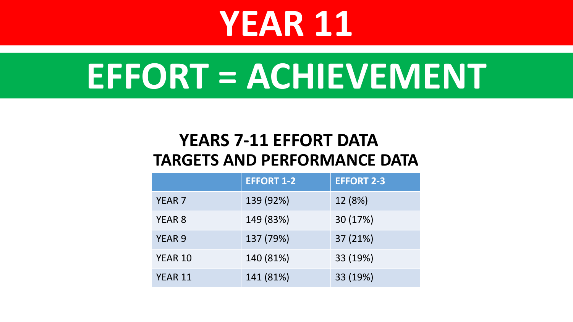# **YEAR 11**

# **EFFORT = ACHIEVEMENT**

# **TARGETS AND PERFORMANCE DATA YEARS 7-11 EFFORT DATA**

|                | <b>EFFORT 1-2</b> | <b>EFFORT 2-3</b> |
|----------------|-------------------|-------------------|
| <b>YEAR 7</b>  | 139 (92%)         | 12 (8%)           |
| <b>YEAR 8</b>  | 149 (83%)         | 30 (17%)          |
| <b>YEAR 9</b>  | 137 (79%)         | 37 (21%)          |
| <b>YEAR 10</b> | 140 (81%)         | 33 (19%)          |
| <b>YEAR 11</b> | 141 (81%)         | 33 (19%)          |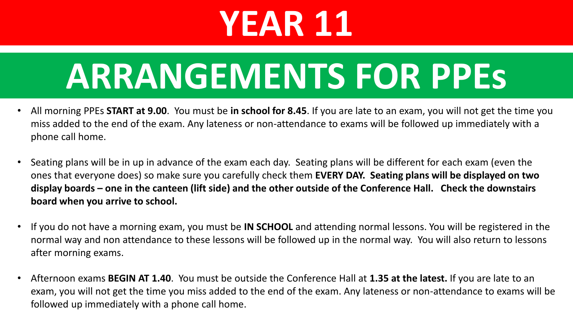# **YEAR 11**

# **ARRANGEMENTS FOR PPEs**

- All morning PPEs **START at 9.00**. You must be **in school for 8.45**. If you are late to an exam, you will not get the time you miss added to the end of the exam. Any lateness or non-attendance to exams will be followed up immediately with a phone call home.
- Seating plans will be in up in advance of the exam each day. Seating plans will be different for each exam (even the ones that everyone does) so make sure you carefully check them **EVERY DAY. Seating plans will be displayed on two display boards – one in the canteen (lift side) and the other outside of the Conference Hall. Check the downstairs board when you arrive to school.**
- If you do not have a morning exam, you must be **IN SCHOOL** and attending normal lessons. You will be registered in the normal way and non attendance to these lessons will be followed up in the normal way. You will also return to lessons after morning exams.
- Afternoon exams **BEGIN AT 1.40**. You must be outside the Conference Hall at **1.35 at the latest.** If you are late to an exam, you will not get the time you miss added to the end of the exam. Any lateness or non-attendance to exams will be followed up immediately with a phone call home.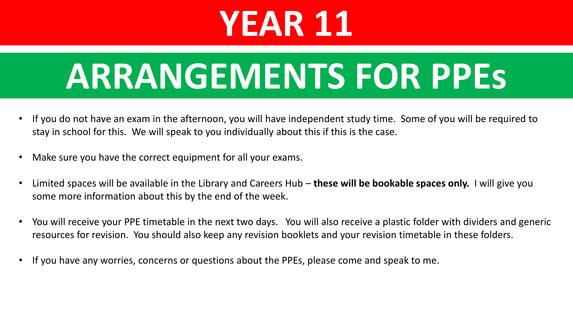# **YEAR 11**

# **ARRANGEMENTS FOR PPEs**

- If you do not have an exam in the afternoon, you will have independent study time. Some of you will be required to stay in school for this. We will speak to you individually about this if this is the case.
- Make sure you have the correct equipment for all your exams.
- Limited spaces will be available in the Library and Careers Hub **these will be bookable spaces only.** I will give you some more information about this by the end of the week.
- You will receive your PPE timetable in the next two days. You will also receive a plastic folder with dividers and generic resources for revision. You should also keep any revision booklets and your revision timetable in these folders.
- If you have any worries, concerns or questions about the PPEs, please come and speak to me.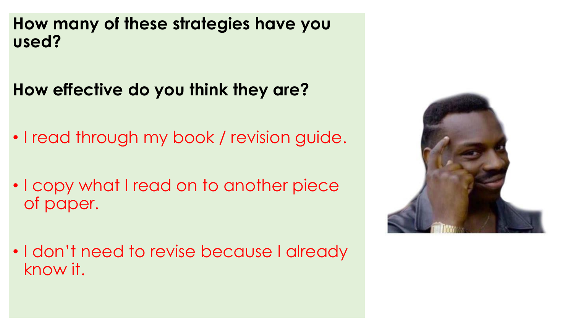**How many of these strategies have you used?**

**How effective do you think they are?**

- I read through my book / revision guide.
- I copy what I read on to another piece of paper.
- I don't need to revise because I already know it.

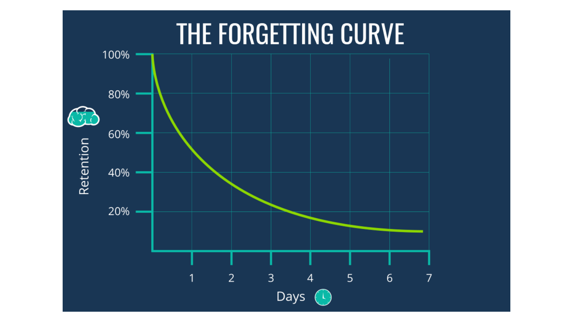# THE FORGETTING CURVE

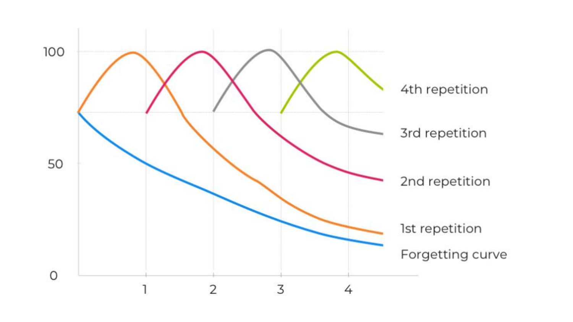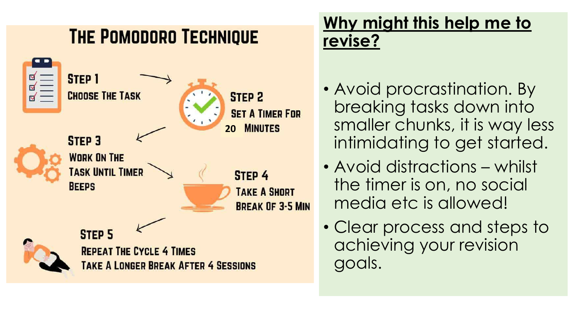# **THE POMODORO TECHNIQUE**



# **Why might this help me to revise?**

- Avoid procrastination. By breaking tasks down into smaller chunks, it is way less intimidating to get started.
- Avoid distractions whilst the timer is on, no social media etc is allowed!
- Clear process and steps to achieving your revision goals.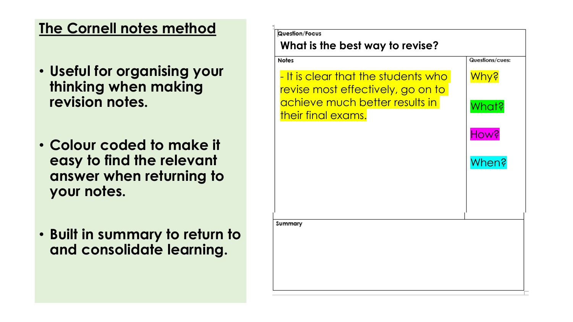### **The Cornell notes method**

- **Useful for organising your thinking when making revision notes.**
- **Colour coded to make it easy to find the relevant answer when returning to your notes.**
- **Built in summary to return to and consolidate learning.**

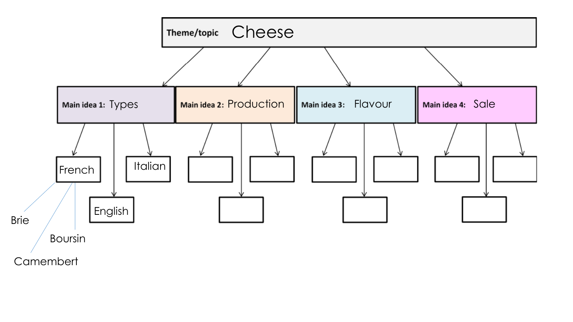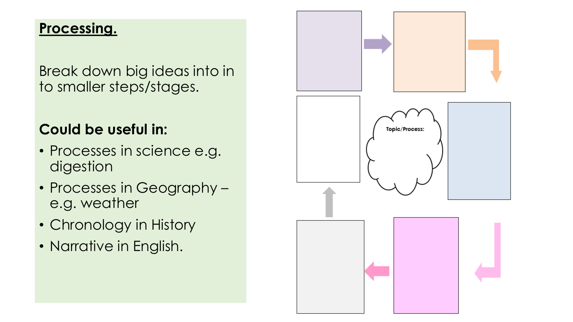### **Processing.**

Break down big ideas into in to smaller steps/stages.

## **Could be useful in:**

- Processes in science e.g. digestion
- Processes in Geography e.g. weather
- Chronology in History
- Narrative in English.

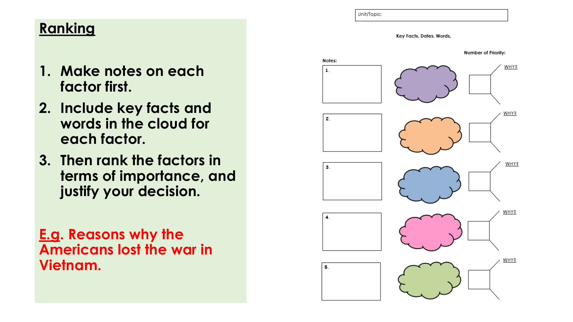### **Ranking**

- **1. Make notes on each factor first.**
- **2. Include key facts and words in the cloud for each factor.**
- **3. Then rank the factors in terms of importance, and justify your decision.**
- **E.g. Reasons why the Americans lost the war in Vietnam.**



Unit/Topic: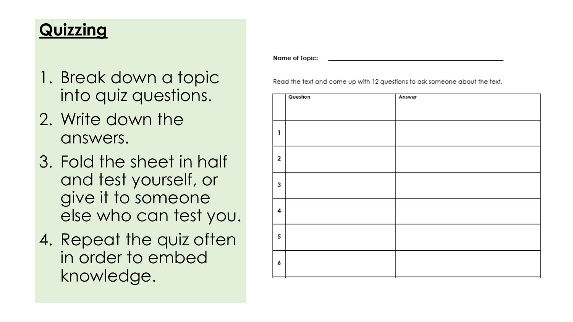# **Quizzing**

- 1. Break down a topic into quiz questions.
- 2. Write down the answers.
- 3. Fold the sheet in half and test yourself, or give it to someone else who can test you.
- 4. Repeat the quiz often in order to embed knowledge.

Name of Topic:

Read the text and come up with 12 questions to ask someone about the text.

|   | Question | Answer |
|---|----------|--------|
|   |          |        |
| 1 |          |        |
| 2 |          |        |
| 3 |          |        |
| 4 |          |        |
| 5 |          |        |
| 6 |          |        |